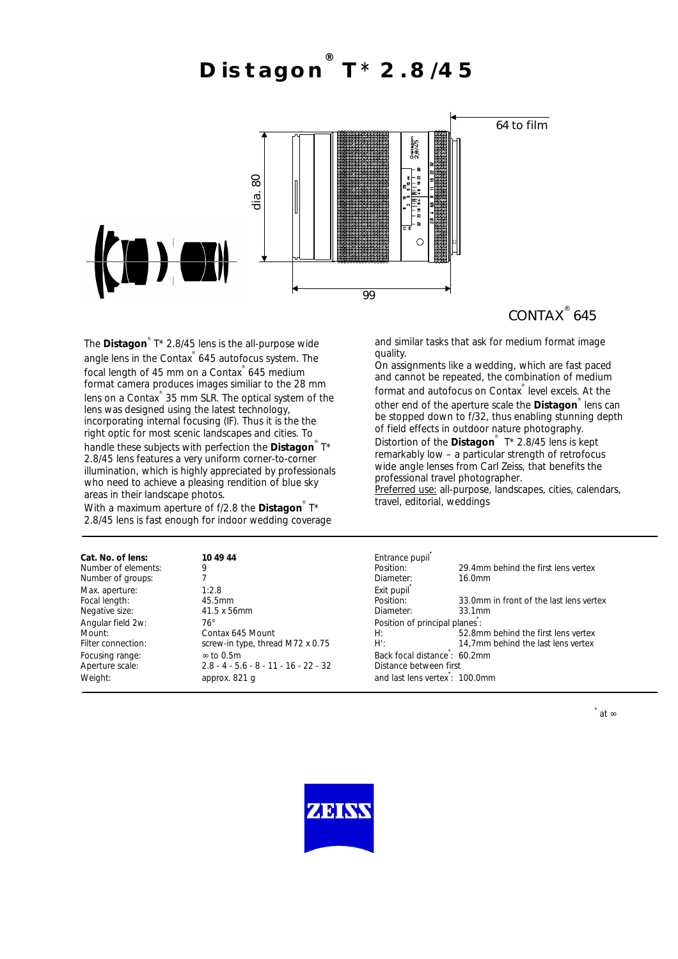**Distagon ® T**\* **2.8/45**



## CONTAX<sup>®</sup> 645

The **Distagon**<sup>®</sup> T\* 2.8/45 lens is the all-purpose wide angle lens in the Contax ® 645 autofocus system. The focal length of 45 mm on a Contax ® 645 medium format camera produces images similiar to the 28 mm lens on a Contax<sup>®</sup> 35 mm SLR. The optical system of the lens was designed using the latest technology, incorporating internal focusing (IF). Thus it is the the right optic for most scenic landscapes and cities. To handle these subjects with perfection the **Distagon**<sup>®</sup> T\* 2.8/45 lens features a very uniform corner-to-corner illumination, which is highly appreciated by professionals who need to achieve a pleasing rendition of blue sky areas in their landscape photos.

With a maximum aperture of f/2.8 the **Distagon** ® T\* 2.8/45 lens is fast enough for indoor wedding coverage and similar tasks that ask for medium format image quality.

On assignments like a wedding, which are fast paced and cannot be repeated, the combination of medium format and autofocus on Contax<sup>®</sup> level excels. At the other end of the aperture scale the **Distagon** ® lens can be stopped down to f/32, thus enabling stunning depth of field effects in outdoor nature photography.

Distortion of the **Distagon** ® T\* 2.8/45 lens is kept remarkably low – a particular strength of retrofocus wide angle lenses from Carl Zeiss, that benefits the professional travel photographer.

Preferred use: all-purpose, landscapes, cities, calendars, travel, editorial, weddings

| Cat. No. of lens:   | 10 49 44                                | Entrance pupil                |                                         |
|---------------------|-----------------------------------------|-------------------------------|-----------------------------------------|
| Number of elements: | 9                                       | Position:                     | 29.4mm behind the first lens vertex     |
| Number of groups:   |                                         | Diameter:                     | 16.0mm                                  |
| Max. aperture:      | 1:2.8                                   | Exit pupil                    |                                         |
| Focal length:       | 45.5mm                                  | Position:                     | 33.0mm in front of the last lens vertex |
| Negative size:      | 41.5 x 56mm                             | Diameter:                     | 33.1mm                                  |
| Angular field 2w:   | 76°                                     | Position of principal planes: |                                         |
| Mount:              | Contax 645 Mount                        | H:                            | 52.8mm behind the first lens vertex     |
| Filter connection:  | screw-in type, thread M72 x 0.75        | H':                           | 14,7mm behind the last lens vertex      |
| Focusing range:     | $\infty$ to 0.5m                        | Back focal distance: 60.2mm   |                                         |
| Aperture scale:     | $2.8 - 4 - 5.6 - 8 - 11 - 16 - 22 - 32$ | Distance between first        |                                         |
| Weight:             | approx. 821 q                           | and last lens vertex: 100.0mm |                                         |
|                     |                                         |                               |                                         |

**\***